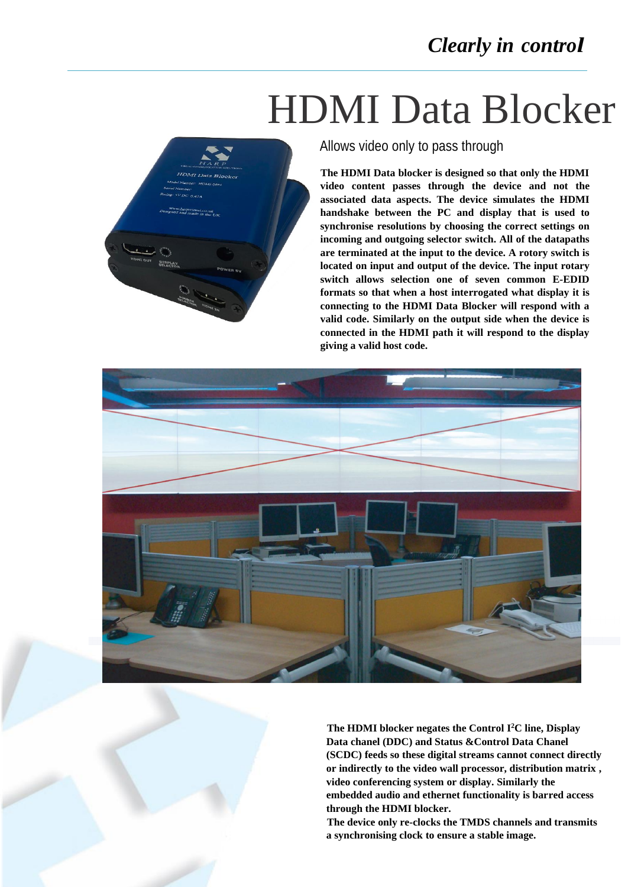# HDMI Data Blocker



Allows video only to pass through

**The HDMI Data blocker is designed so that only the HDMI video content passes through the device and not the associated data aspects. The device simulates the HDMI handshake between the PC and display that is used to synchronise resolutions by choosing the correct settings on incoming and outgoing selector switch. All of the datapaths are terminated at the input to the device. A rotory switch is located on input and output of the device. The input rotary switch allows selection one of seven common E-EDID formats so that when a host interrogated what display it is connecting to the HDMI Data Blocker will respond with a valid code. Similarly on the output side when the device is connected in the HDMI path it will respond to the display giving a valid host code.** 



**The HDMI blocker negates the Control I <sup>2</sup>C line, Display Data chanel (DDC) and Status &Control Data Chanel (SCDC) feeds so these digital streams cannot connect directly or indirectly to the video wall processor, distribution matrix , video conferencing system or display. Similarly the embedded audio and ethernet functionality is barred access through the HDMI blocker.**

**The device only re-clocks the TMDS channels and transmits a synchronising clock to ensure a stable image.**